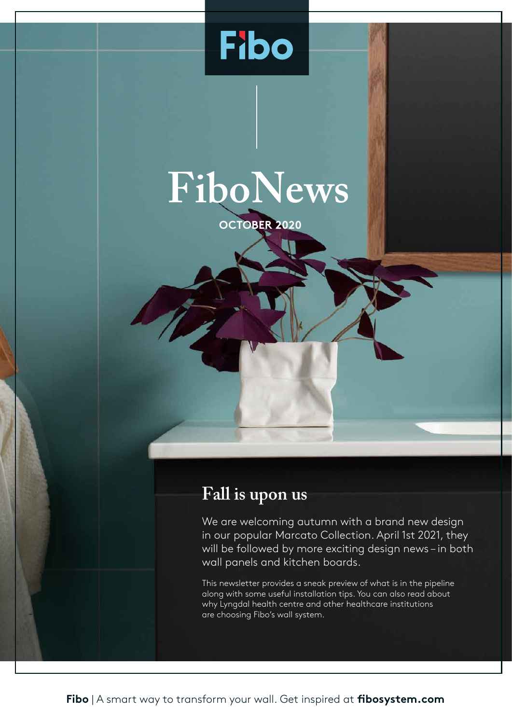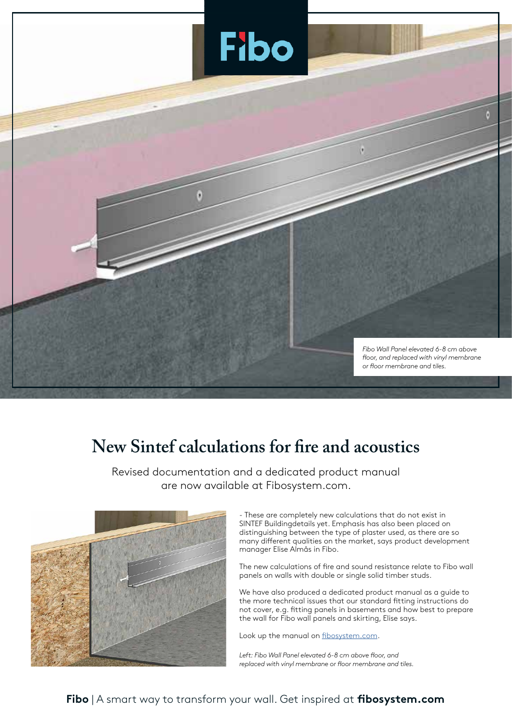

## **New Sintef calculations for fire and acoustics**

Revised documentation and a dedicated product manual are now available at Fibosystem.com.



- These are completely new calculations that do not exist in SINTEF Buildingdetails yet. Emphasis has also been placed on distinguishing between the type of plaster used, as there are so many different qualities on the market, says product development manager Elise Almås in Fibo.

The new calculations of fire and sound resistance relate to Fibo wall panels on walls with double or single solid timber studs.

We have also produced a dedicated product manual as a guide to the more technical issues that our standard fitting instructions do not cover, e.g. fitting panels in basements and how best to prepare the wall for Fibo wall panels and skirting, Elise says.

Look up the manual on fibosystem.com.

*Left: Fibo Wall Panel elevated 6-8 cm above floor, and replaced with vinyl membrane or floor membrane and tiles.*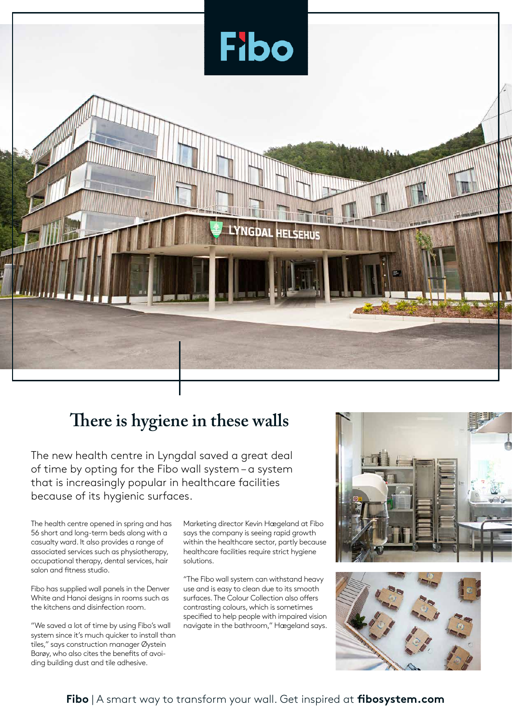

### **There is hygiene in these walls**

The new health centre in Lyngdal saved a great deal of time by opting for the Fibo wall system – a system that is increasingly popular in healthcare facilities because of its hygienic surfaces.

The health centre opened in spring and has 56 short and long-term beds along with a casualty ward. It also provides a range of associated services such as physiotherapy, occupational therapy, dental services, hair salon and fitness studio.

Fibo has supplied wall panels in the Denver White and Hanoi designs in rooms such as the kitchens and disinfection room.

"We saved a lot of time by using Fibo's wall system since it's much quicker to install than tiles," says construction manager Øystein Barøy, who also cites the benefits of avoiding building dust and tile adhesive.

Marketing director Kevin Hægeland at Fibo says the company is seeing rapid growth within the healthcare sector, partly because healthcare facilities require strict hygiene solutions.

"The Fibo wall system can withstand heavy use and is easy to clean due to its smooth surfaces. The Colour Collection also offers contrasting colours, which is sometimes specified to help people with impaired vision navigate in the bathroom," Hægeland says.